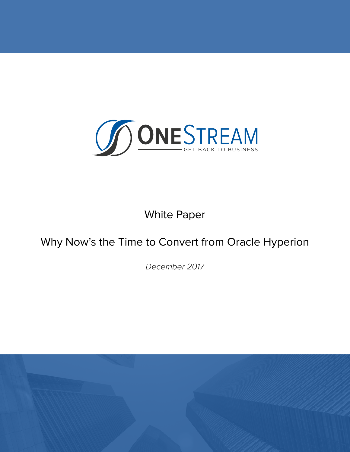

# White Paper

# Why Now's the Time to Convert from Oracle Hyperion

*December 2017*

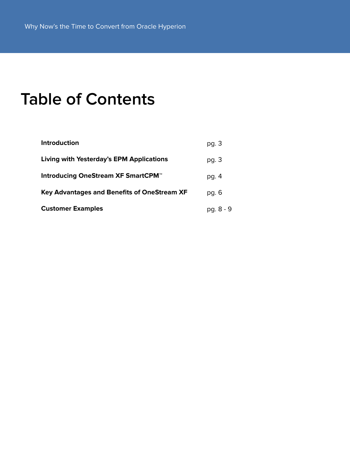# **Table of Contents**

| <b>Introduction</b>                             | pg. 3     |
|-------------------------------------------------|-----------|
| <b>Living with Yesterday's EPM Applications</b> | pg. 3     |
| Introducing OneStream XF SmartCPM <sup>™</sup>  | pg. $4$   |
| Key Advantages and Benefits of OneStream XF     | pg. 6     |
| <b>Customer Examples</b>                        | pg. 8 - 9 |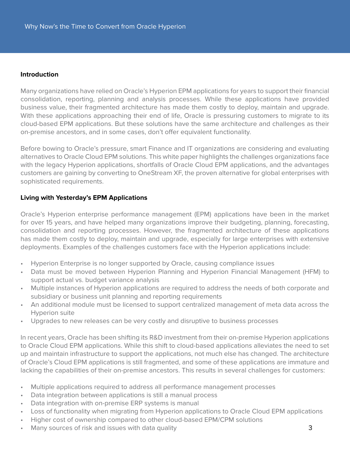#### **Introduction**

Many organizations have relied on Oracle's Hyperion EPM applications for years to support their financial consolidation, reporting, planning and analysis processes. While these applications have provided business value, their fragmented architecture has made them costly to deploy, maintain and upgrade. With these applications approaching their end of life, Oracle is pressuring customers to migrate to its cloud-based EPM applications. But these solutions have the same architecture and challenges as their on-premise ancestors, and in some cases, don't offer equivalent functionality.

Before bowing to Oracle's pressure, smart Finance and IT organizations are considering and evaluating alternatives to Oracle Cloud EPM solutions. This white paper highlights the challenges organizations face with the legacy Hyperion applications, shortfalls of Oracle Cloud EPM applications, and the advantages customers are gaining by converting to OneStream XF, the proven alternative for global enterprises with sophisticated requirements.

# **Living with Yesterday's EPM Applications**

Oracle's Hyperion enterprise performance management (EPM) applications have been in the market for over 15 years, and have helped many organizations improve their budgeting, planning, forecasting, consolidation and reporting processes. However, the fragmented architecture of these applications has made them costly to deploy, maintain and upgrade, especially for large enterprises with extensive deployments. Examples of the challenges customers face with the Hyperion applications include:

- Hyperion Enterprise is no longer supported by Oracle, causing compliance issues
- Data must be moved between Hyperion Planning and Hyperion Financial Management (HFM) to support actual vs. budget variance analysis
- Multiple instances of Hyperion applications are required to address the needs of both corporate and subsidiary or business unit planning and reporting requirements
- An additional module must be licensed to support centralized management of meta data across the Hyperion suite
- Upgrades to new releases can be very costly and disruptive to business processes

In recent years, Oracle has been shifting its R&D investment from their on-premise Hyperion applications to Oracle Cloud EPM applications. While this shift to cloud-based applications alleviates the need to set up and maintain infrastructure to support the applications, not much else has changed. The architecture of Oracle's Cloud EPM applications is still fragmented, and some of these applications are immature and lacking the capabilities of their on-premise ancestors. This results in several challenges for customers:

- Multiple applications required to address all performance management processes
- Data integration between applications is still a manual process
- Data integration with on-premise ERP systems is manual
- Loss of functionality when migrating from Hyperion applications to Oracle Cloud EPM applications
- Higher cost of ownership compared to other cloud-based EPM/CPM solutions
- Many sources of risk and issues with data quality **3** and  $\overline{\phantom{a}}$  3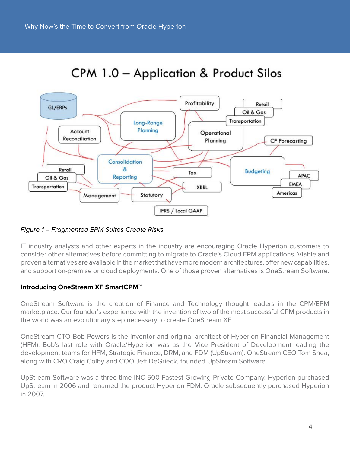

# CPM 1.0 - Application & Product Silos

# Figure 1 – Fragmented EPM Suites Create Risks

IT industry analysts and other experts in the industry are encouraging Oracle Hyperion customers to consider other alternatives before committing to migrate to Oracle's Cloud EPM applications. Viable and proven alternatives are available in the market that have more modern architectures, offer new capabilities, and support on-premise or cloud deployments. One of those proven alternatives is OneStream Software.

# **Introducing OneStream XF SmartCPM™**

OneStream Software is the creation of Finance and Technology thought leaders in the CPM/EPM marketplace. Our founder's experience with the invention of two of the most successful CPM products in the world was an evolutionary step necessary to create OneStream XF.

OneStream CTO Bob Powers is the inventor and original architect of Hyperion Financial Management (HFM). Bob's last role with Oracle/Hyperion was as the Vice President of Development leading the development teams for HFM, Strategic Finance, DRM, and FDM (UpStream). OneStream CEO Tom Shea, along with CRO Craig Colby and COO Jeff DeGrieck, founded UpStream Software.

UpStream Software was a three-time INC 500 Fastest Growing Private Company. Hyperion purchased UpStream in 2006 and renamed the product Hyperion FDM. Oracle subsequently purchased Hyperion in 2007.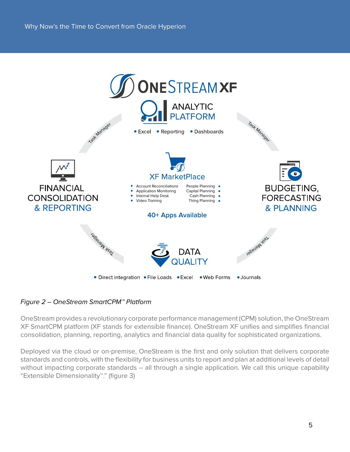

Figure 2 – OneStream SmartCPM™ Platform

OneStream provides a revolutionary corporate performance management (CPM) solution, the OneStream XF SmartCPM platform (XF stands for extensible finance). OneStream XF unifies and simplifies financial consolidation, planning, reporting, analytics and financial data quality for sophisticated organizations.

Deployed via the cloud or on-premise, OneStream is the first and only solution that delivers corporate standards and controls, with the flexibility for business units to report and plan at additional levels of detail without impacting corporate standards – all through a single application. We call this unique capability "Extensible Dimensionality™." (figure 3)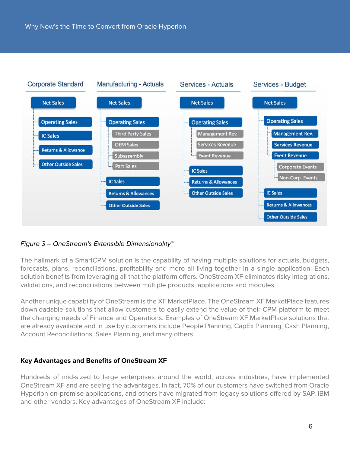

# Figure 3 – OneStream's Extensible Dimensionality™

The hallmark of a SmartCPM solution is the capability of having multiple solutions for actuals, budgets, forecasts, plans, reconciliations, profitability and more all living together in a single application. Each solution benefits from leveraging all that the platform offers. OneStream XF eliminates risky integrations, validations, and reconciliations between multiple products, applications and modules.

Another unique capability of OneStream is the XF MarketPlace. The OneStream XF MarketPlace features downloadable solutions that allow customers to easily extend the value of their CPM platform to meet the changing needs of Finance and Operations. Examples of OneStream XF MarketPlace solutions that are already available and in use by customers include People Planning, CapEx Planning, Cash Planning, Account Reconciliations, Sales Planning, and many others.

#### **Key Advantages and Benefits of OneStream XF**

Hundreds of mid-sized to large enterprises around the world, across industries, have implemented OneStream XF and are seeing the advantages. In fact, 70% of our customers have switched from Oracle Hyperion on-premise applications, and others have migrated from legacy solutions offered by SAP, IBM and other vendors. Key advantages of OneStream XF include: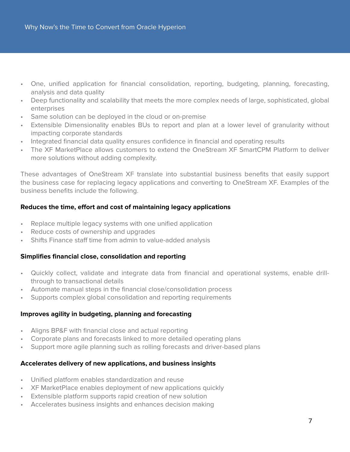- One, unified application for financial consolidation, reporting, budgeting, planning, forecasting, analysis and data quality
- Deep functionality and scalability that meets the more complex needs of large, sophisticated, global enterprises
- Same solution can be deployed in the cloud or on-premise
- Extensible Dimensionality enables BUs to report and plan at a lower level of granularity without impacting corporate standards
- Integrated financial data quality ensures confidence in financial and operating results
- The XF MarketPlace allows customers to extend the OneStream XF SmartCPM Platform to deliver more solutions without adding complexity.

These advantages of OneStream XF translate into substantial business benefits that easily support the business case for replacing legacy applications and converting to OneStream XF. Examples of the business benefits include the following.

# **Reduces the time, effort and cost of maintaining legacy applications**

- Replace multiple legacy systems with one unified application
- Reduce costs of ownership and upgrades
- Shifts Finance staff time from admin to value-added analysis

# **Simplifies financial close, consolidation and reporting**

- Quickly collect, validate and integrate data from financial and operational systems, enable drillthrough to transactional details
- Automate manual steps in the financial close/consolidation process
- Supports complex global consolidation and reporting requirements

# **Improves agility in budgeting, planning and forecasting**

- Aligns BP&F with financial close and actual reporting
- Corporate plans and forecasts linked to more detailed operating plans
- Support more agile planning such as rolling forecasts and driver-based plans

# **Accelerates delivery of new applications, and business insights**

- Unified platform enables standardization and reuse
- XF MarketPlace enables deployment of new applications quickly
- Extensible platform supports rapid creation of new solution
- Accelerates business insights and enhances decision making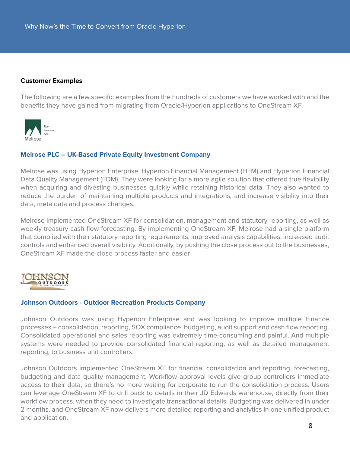### **Customer Examples**

The following are a few specific examples from the hundreds of customers we have worked with and the benefits they have gained from migrating from Oracle/Hyperion applications to OneStream XF.



# **[Melrose PLC – UK-Based Private Equity Investment Company](https://onestreamsoftware.com/success-stories/melrose-plc/)**

Melrose was using Hyperion Enterprise, Hyperion Financial Management (HFM) and Hyperion Financial Data Quality Management (FDM). They were looking for a more agile solution that offered true flexibility when acquiring and divesting businesses quickly while retaining historical data. They also wanted to reduce the burden of maintaining multiple products and integrations, and increase visibility into their data, meta data and process changes.

Melrose implemented OneStream XF for consolidation, management and statutory reporting, as well as weekly treasury cash flow forecasting. By implementing OneStream XF, Melrose had a single platform that complied with their statutory reporting requirements, improved analysis capabilities, increased audit controls and enhanced overall visibility. Additionally, by pushing the close process out to the businesses, OneStream XF made the close process faster and easier.



#### **[Johnson Outdoors - Outdoor Recreation Products Company](https://onestreamsoftware.com/success-stories/johnson-outdoors-inc/)**

Johnson Outdoors was using Hyperion Enterprise and was looking to improve multiple Finance processes – consolidation, reporting, SOX compliance, budgeting, audit support and cash flow reporting. Consolidated operational and sales reporting was extremely time-consuming and painful. And multiple systems were needed to provide consolidated financial reporting, as well as detailed management reporting, to business unit controllers.

Johnson Outdoors implemented OneStream XF for financial consolidation and reporting, forecasting, budgeting and data quality management. Workflow approval levels give group controllers immediate access to their data, so there's no more waiting for corporate to run the consolidation process. Users can leverage OneStream XF to drill back to details in their JD Edwards warehouse, directly from their workflow process, when they need to investigate transactional details. Budgeting was delivered in under 2 months, and OneStream XF now delivers more detailed reporting and analytics in one unified product and application.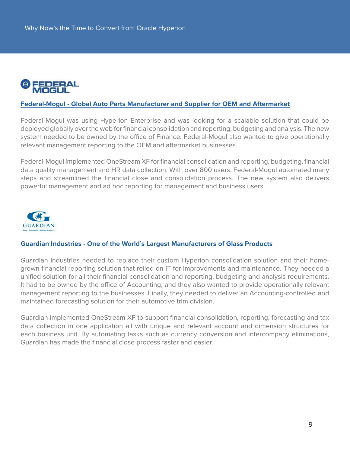

# **[Federal-Mogul - Global Auto Parts Manufacturer and Supplier for OEM and Aftermarket](https://onestreamsoftware.com/success-stories/federal-mogul/)**

Federal-Mogul was using Hyperion Enterprise and was looking for a scalable solution that could be deployed globally over the web for financial consolidation and reporting, budgeting and analysis. The new system needed to be owned by the office of Finance. Federal-Mogul also wanted to give operationally relevant management reporting to the OEM and aftermarket businesses.

Federal-Mogul implemented OneStream XF for financial consolidation and reporting, budgeting, financial data quality management and HR data collection. With over 800 users, Federal-Mogul automated many steps and streamlined the financial close and consolidation process. The new system also delivers powerful management and ad hoc reporting for management and business users.



# **[Guardian Industries - One of the World's Largest Manufacturers of Glass Products](https://onestreamsoftware.com/success-stories/guardian-industries/)**

Guardian Industries needed to replace their custom Hyperion consolidation solution and their homegrown financial reporting solution that relied on IT for improvements and maintenance. They needed a unified solution for all their financial consolidation and reporting, budgeting and analysis requirements. It had to be owned by the office of Accounting, and they also wanted to provide operationally relevant management reporting to the businesses. Finally, they needed to deliver an Accounting-controlled and maintained forecasting solution for their automotive trim division.

Guardian implemented OneStream XF to support financial consolidation, reporting, forecasting and tax data collection in one application all with unique and relevant account and dimension structures for each business unit. By automating tasks such as currency conversion and intercompany eliminations, Guardian has made the financial close process faster and easier.